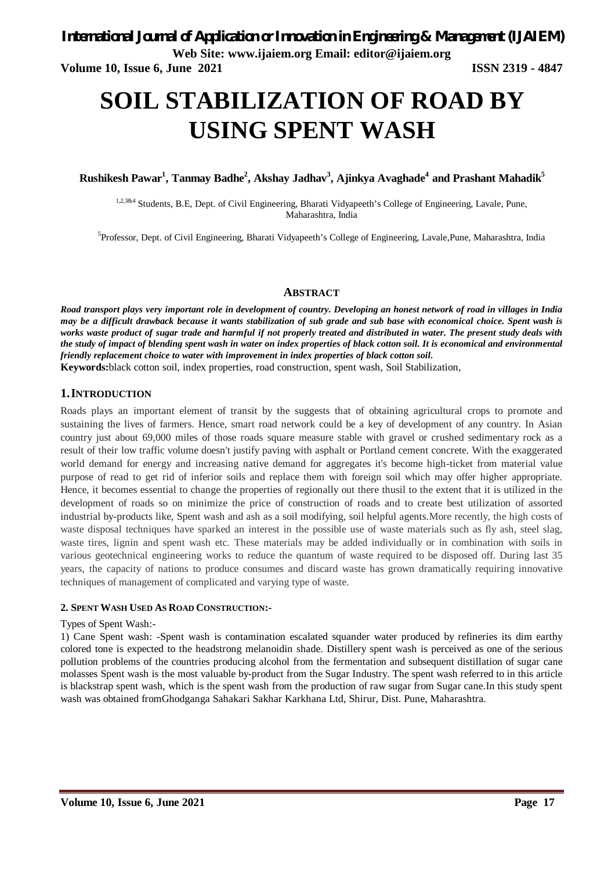**Volume 10, Issue 6, June 2021 ISSN 2319 - 4847**

# **SOIL STABILIZATION OF ROAD BY USING SPENT WASH**

**Rushikesh Pawar<sup>1</sup> , Tanmay Badhe<sup>2</sup> , Akshay Jadhav<sup>3</sup> , Ajinkya Avaghade<sup>4</sup>and Prashant Mahadik<sup>5</sup>**

1,2,3&4 Students, B.E, Dept. of Civil Engineering, Bharati Vidyapeeth's College of Engineering, Lavale, Pune, Maharashtra, India

<sup>5</sup>Professor, Dept. of Civil Engineering, Bharati Vidyapeeth's College of Engineering, Lavale,Pune, Maharashtra, India

### **ABSTRACT**

*Road transport plays very important role in development of country. Developing an honest network of road in villages in India may be a difficult drawback because it wants stabilization of sub grade and sub base with economical choice. Spent wash is works waste product of sugar trade and harmful if not properly treated and distributed in water. The present study deals with the study of impact of blending spent wash in water on index properties of black cotton soil. It is economical and environmental friendly replacement choice to water with improvement in index properties of black cotton soil.* **Keywords:**black cotton soil, index properties, road construction, spent wash, Soil Stabilization,

### **1.INTRODUCTION**

Roads plays an important element of transit by the suggests that of obtaining agricultural crops to promote and sustaining the lives of farmers. Hence, smart road network could be a key of development of any country. In Asian country just about 69,000 miles of those roads square measure stable with gravel or crushed sedimentary rock as a result of their low traffic volume doesn't justify paving with asphalt or Portland cement concrete. With the exaggerated world demand for energy and increasing native demand for aggregates it's become high-ticket from material value purpose of read to get rid of inferior soils and replace them with foreign soil which may offer higher appropriate. Hence, it becomes essential to change the properties of regionally out there thusil to the extent that it is utilized in the development of roads so on minimize the price of construction of roads and to create best utilization of assorted industrial by-products like, Spent wash and ash as a soil modifying, soil helpful agents.More recently, the high costs of waste disposal techniques have sparked an interest in the possible use of waste materials such as fly ash, steel slag, waste tires, lignin and spent wash etc. These materials may be added individually or in combination with soils in various geotechnical engineering works to reduce the quantum of waste required to be disposed off. During last 35 years, the capacity of nations to produce consumes and discard waste has grown dramatically requiring innovative techniques of management of complicated and varying type of waste.

### **2. SPENT WASH USED AS ROAD CONSTRUCTION:-**

### Types of Spent Wash:-

1) Cane Spent wash: -Spent wash is contamination escalated squander water produced by refineries its dim earthy colored tone is expected to the headstrong melanoidin shade. Distillery spent wash is perceived as one of the serious pollution problems of the countries producing alcohol from the fermentation and subsequent distillation of sugar cane molasses Spent wash is the most valuable by-product from the Sugar Industry. The spent wash referred to in this article is blackstrap spent wash, which is the spent wash from the production of raw sugar from Sugar cane.In this study spent wash was obtained fromGhodganga Sahakari Sakhar Karkhana Ltd, Shirur, Dist. Pune, Maharashtra.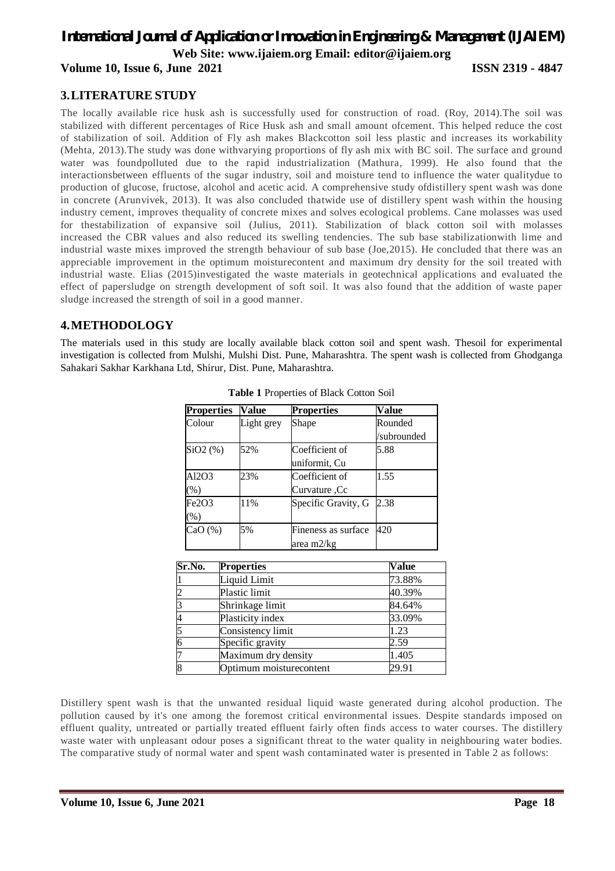# *International Journal of Application or Innovation in Engineering & Management (IJAIEM)* **Web Site: www.ijaiem.org Email: editor@ijaiem.org**

**Volume 10, Issue 6, June 2021 ISSN 2319 - 4847**

### **3.LITERATURE STUDY**

The locally available rice husk ash is successfully used for construction of road. (Roy, 2014).The soil was stabilized with different percentages of Rice Husk ash and small amount ofcement. This helped reduce the cost of stabilization of soil. Addition of Fly ash makes Blackcotton soil less plastic and increases its workability (Mehta, 2013).The study was done withvarying proportions of fly ash mix with BC soil. The surface and ground water was foundpolluted due to the rapid industrialization (Mathura, 1999). He also found that the interactionsbetween effluents of the sugar industry, soil and moisture tend to influence the water qualitydue to production of glucose, fructose, alcohol and acetic acid. A comprehensive study ofdistillery spent wash was done in concrete (Arunvivek, 2013). It was also concluded thatwide use of distillery spent wash within the housing industry cement, improves thequality of concrete mixes and solves ecological problems. Cane molasses was used for thestabilization of expansive soil (Julius, 2011). Stabilization of black cotton soil with molasses increased the CBR values and also reduced its swelling tendencies. The sub base stabilizationwith lime and industrial waste mixes improved the strength behaviour of sub base (Joe,2015). He concluded that there was an appreciable improvement in the optimum moisturecontent and maximum dry density for the soil treated with industrial waste. Elias (2015)investigated the waste materials in geotechnical applications and evaluated the effect of papersludge on strength development of soft soil. It was also found that the addition of waste paper sludge increased the strength of soil in a good manner.

### **4.METHODOLOGY**

The materials used in this study are locally available black cotton soil and spent wash. Thesoil for experimental investigation is collected from Mulshi, Mulshi Dist. Pune, Maharashtra. The spent wash is collected from Ghodganga Sahakari Sakhar Karkhana Ltd, Shirur, Dist. Pune, Maharashtra.

| <b>Properties</b> | Value      | <b>Properties</b>   | Value       |
|-------------------|------------|---------------------|-------------|
| Colour            | Light grey | Shape               | Rounded     |
|                   |            |                     | /subrounded |
| $SiO2$ $(\%)$     | 52%        | Coefficient of      | 5.88        |
|                   |            | uniformit, Cu       |             |
| Al2O3             | 23%        | Coefficient of      | 1.55        |
| $(\%)$            |            | Curvature, Cc       |             |
| Fe2O3             | 11%        | Specific Gravity, G | 2.38        |
| $(\%)$            |            |                     |             |
| CaO(%)            | 5%         | Fineness as surface | 420         |
|                   |            | area m2/kg          |             |

**Table 1** Properties of Black Cotton Soil

| Sr.No.         | <b>Properties</b>       | <b>Value</b> |
|----------------|-------------------------|--------------|
|                | Liquid Limit            | 73.88%       |
| $\overline{2}$ | Plastic limit           | 40.39%       |
| 3              | Shrinkage limit         | 84.64%       |
| 4              | Plasticity index        | 33.09%       |
| 5              | Consistency limit       | 1.23         |
| $\overline{6}$ | Specific gravity        | 2.59         |
|                | Maximum dry density     | 1.405        |
| 8              | Optimum moisturecontent | 29.91        |

Distillery spent wash is that the unwanted residual liquid waste generated during alcohol production. The pollution caused by it's one among the foremost critical environmental issues. Despite standards imposed on effluent quality, untreated or partially treated effluent fairly often finds access to water courses. The distillery waste water with unpleasant odour poses a significant threat to the water quality in neighbouring water bodies. The comparative study of normal water and spent wash contaminated water is presented in Table 2 as follows: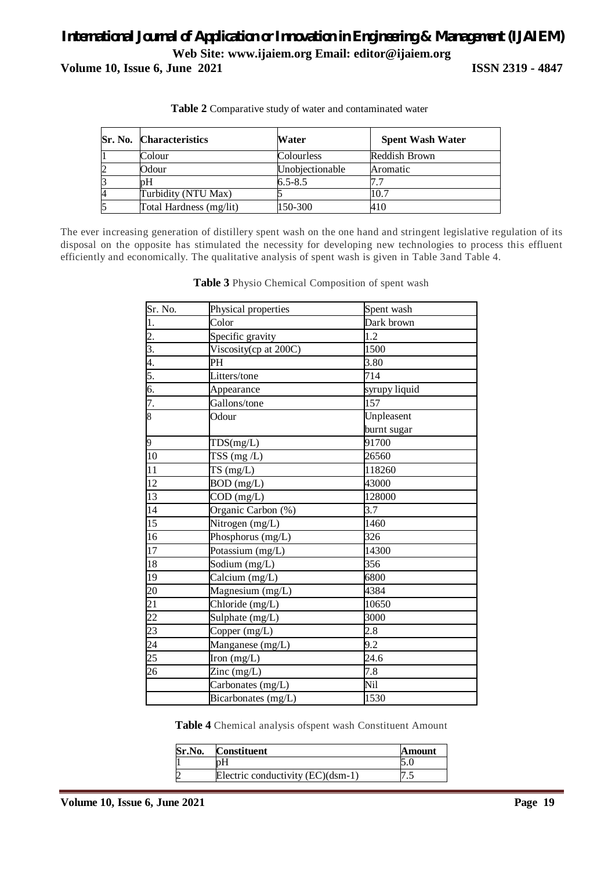# *International Journal of Application or Innovation in Engineering & Management (IJAIEM)* **Web Site: www.ijaiem.org Email: editor@ijaiem.org Volume 10, Issue 6, June 2021 ISSN 2319 - 4847**

|   | <b>Sr. No. Characteristics</b> | Water           | <b>Spent Wash Water</b> |
|---|--------------------------------|-----------------|-------------------------|
|   | Colour                         | Colourless      | Reddish Brown           |
| 2 | Odour                          | Unobjectionable | Aromatic                |
|   | pН                             | $6.5 - 8.5$     |                         |
| 4 | Turbidity (NTU Max)            |                 | 10.7                    |
| 5 | Total Hardness (mg/lit)        | 150-300         | 410                     |

**Table 2** Comparative study of water and contaminated water

The ever increasing generation of distillery spent wash on the one hand and stringent legislative regulation of its disposal on the opposite has stimulated the necessity for developing new technologies to process this effluent efficiently and economically. The qualitative analysis of spent wash is given in Table 3and Table 4.

| Sr. No.               | Physical properties                      | Spent wash       |
|-----------------------|------------------------------------------|------------------|
| 1.                    | Color                                    | Dark brown       |
| $\frac{2}{3}$ .       | Specific gravity                         | 1.2              |
|                       | Viscosity(cp at 200C)                    | 1500             |
| 4.                    | PH                                       | 3.80             |
|                       | Litters/tone                             | 714              |
| $rac{5}{6}$           | Appearance                               | syrupy liquid    |
| 7.                    | Gallons/tone                             | 157              |
| $\overline{\text{8}}$ | Odour                                    | Unpleasent       |
|                       |                                          | burnt sugar      |
| 9                     | TDS(mg/L)                                | 91700            |
| 10                    | $TSS$ (mg $/L$ )                         | 26560            |
| 11                    | TS(mg/L)                                 | 118260           |
| 12                    | BOD (mg/L)                               | 43000            |
| $\overline{13}$       | $COD$ (mg/L)                             | 128000           |
| $\overline{14}$       | Organic Carbon (%)                       | 3.7              |
| $\overline{15}$       | Nitrogen (mg/L)                          | 1460             |
| 16                    | Phosphorus (mg/L)                        | 326              |
| 17                    | Potassium $(mg/L)$                       | 14300            |
| 18                    | Sodium (mg/L)                            | 356              |
| 19                    | Calcium (mg/L)                           | 6800             |
| 20                    | Magnesium (mg/L)                         | 4384             |
| 21                    | $\overline{\text{Chloride}}$ (mg/L)      | 10650            |
| $\overline{22}$       | Sulphate (mg/L)                          | 3000             |
| 23                    | Copper (mg/L)                            | 2.8              |
| 24                    | Manganese (mg/L)                         | 9.2              |
| $\overline{25}$       | Iron $(mg/L)$                            | 24.6             |
| $26\overline{)}$      | $\text{Zinc} \left( \text{mg/L} \right)$ | $\overline{7.8}$ |
|                       | Carbonates (mg/L)                        | Nil              |
|                       | Bicarbonates (mg/L)                      | 1530             |

**Table 3** Physio Chemical Composition of spent wash

**Table 4** Chemical analysis ofspent wash Constituent Amount

| Sr.No. | <b>Constituent</b>                | Amount |
|--------|-----------------------------------|--------|
|        |                                   |        |
|        | Electric conductivity (EC)(dsm-1) |        |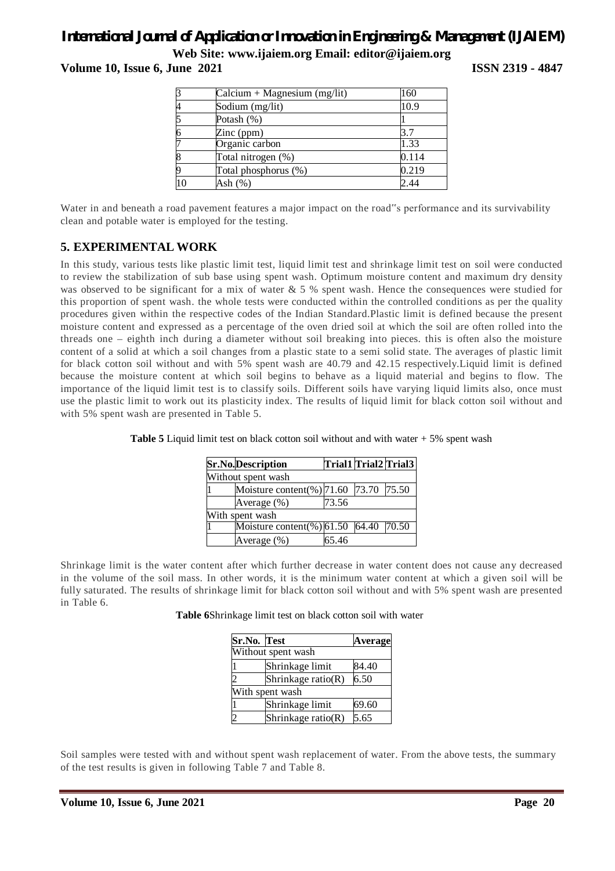# *International Journal of Application or Innovation in Engineering & Management (IJAIEM)*

**Web Site: www.ijaiem.org Email: editor@ijaiem.org**

**Volume 10, Issue 6, June 2021 ISSN 2319 - 4847** 

|    | $Calcium + Magnesium (mg/lit)$ | 160   |
|----|--------------------------------|-------|
|    | Sodium (mg/lit)                | 10.9  |
|    | Potash (%)                     |       |
|    | Zinc $(ppm)$                   |       |
|    | Organic carbon                 | 1.33  |
|    | Total nitrogen (%)             | 0.114 |
|    | Total phosphorus (%)           | 0.219 |
| 10 | Ash (%)                        | 2.44  |

Water in and beneath a road pavement features a major impact on the road"s performance and its survivability clean and potable water is employed for the testing.

### **5. EXPERIMENTAL WORK**

In this study, various tests like plastic limit test, liquid limit test and shrinkage limit test on soil were conducted to review the stabilization of sub base using spent wash. Optimum moisture content and maximum dry density was observed to be significant for a mix of water & 5 % spent wash. Hence the consequences were studied for this proportion of spent wash. the whole tests were conducted within the controlled conditions as per the quality procedures given within the respective codes of the Indian Standard.Plastic limit is defined because the present moisture content and expressed as a percentage of the oven dried soil at which the soil are often rolled into the threads one – eighth inch during a diameter without soil breaking into pieces. this is often also the moisture content of a solid at which a soil changes from a plastic state to a semi solid state. The averages of plastic limit for black cotton soil without and with 5% spent wash are 40.79 and 42.15 respectively.Liquid limit is defined because the moisture content at which soil begins to behave as a liquid material and begins to flow. The importance of the liquid limit test is to classify soils. Different soils have varying liquid limits also, once must use the plastic limit to work out its plasticity index. The results of liquid limit for black cotton soil without and with 5% spent wash are presented in Table 5.

| <b>Sr.No.Description</b>              |       |  | Trial1 Trial2 Trial3 |  |  |
|---------------------------------------|-------|--|----------------------|--|--|
| Without spent wash                    |       |  |                      |  |  |
| Moisture content(%) 71.60 73.70 75.50 |       |  |                      |  |  |
| Average (%)                           | 73.56 |  |                      |  |  |
| With spent wash                       |       |  |                      |  |  |
| Moisture content(%) 61.50 64.40 70.50 |       |  |                      |  |  |
| Average (%)                           | 65.46 |  |                      |  |  |

**Table 5** Liquid limit test on black cotton soil without and with water + 5% spent wash

Shrinkage limit is the water content after which further decrease in water content does not cause any decreased in the volume of the soil mass. In other words, it is the minimum water content at which a given soil will be fully saturated. The results of shrinkage limit for black cotton soil without and with 5% spent wash are presented in Table 6.

**Table 6**Shrinkage limit test on black cotton soil with water

| Sr.No. Test |                    | <b>Average</b> |
|-------------|--------------------|----------------|
|             | Without spent wash |                |
|             | Shrinkage limit    | 84.40          |
|             | Shrinkage ratio(R) | 6.50           |
|             | With spent wash    |                |
|             | Shrinkage limit    | 69.60          |
|             | Shrinkage ratio(R) | 5.65           |

Soil samples were tested with and without spent wash replacement of water. From the above tests, the summary of the test results is given in following Table 7 and Table 8.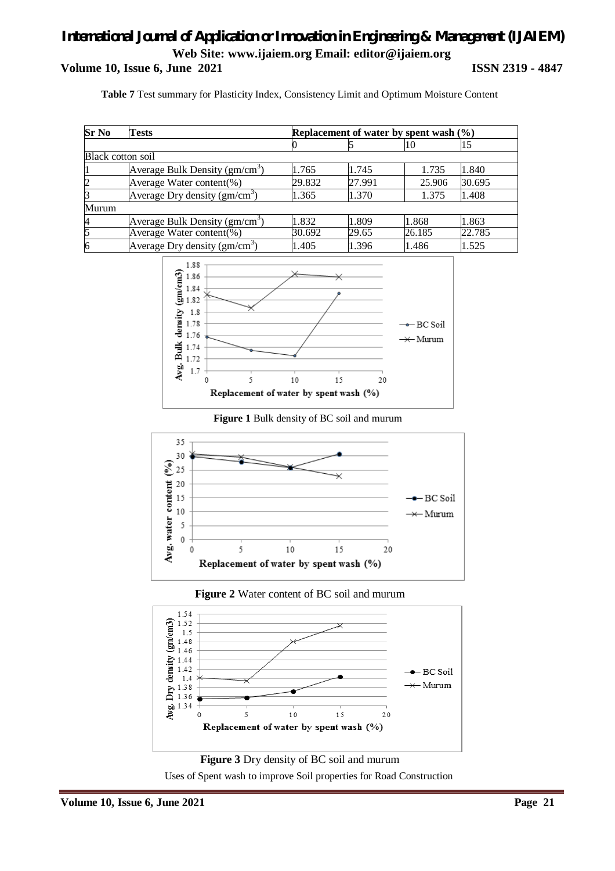# *International Journal of Application or Innovation in Engineering & Management (IJAIEM)* **Web Site: www.ijaiem.org Email: editor@ijaiem.org Volume 10, Issue 6, June 2021 ISSN 2319 - 4847**

**Table 7** Test summary for Plasticity Index, Consistency Limit and Optimum Moisture Content

| $Sr$ No        | Tests                                      | Replacement of water by spent wash $(\% )$ |        |        |        |
|----------------|--------------------------------------------|--------------------------------------------|--------|--------|--------|
|                |                                            |                                            |        | 10     | 15     |
|                | Black cotton soil                          |                                            |        |        |        |
|                | Average Bulk Density $(gm/cm3)$            | 1.765                                      | 1.745  | 1.735  | 1.840  |
| $\overline{2}$ | Average Water content(%)                   | 29.832                                     | 27.991 | 25.906 | 30.695 |
| 3              | Average Dry density $(gm/cm3)$             | 1.365                                      | 1.370  | 1.375  | 1.408  |
| Murum          |                                            |                                            |        |        |        |
| 4              | Average Bulk Density (gm/cm <sup>3</sup> ) | 1.832                                      | 1.809  | 1.868  | 1.863  |
| 5              | Average Water content(%)                   | 30.692                                     | 29.65  | 26.185 | 22.785 |
| 6              | Average Dry density $(gm/cm3)$             | 1.405                                      | 1.396  | 1.486  | 1.525  |



### **Figure 1** Bulk density of BC soil and murum







**Figure 3** Dry density of BC soil and murum Uses of Spent wash to improve Soil properties for Road Construction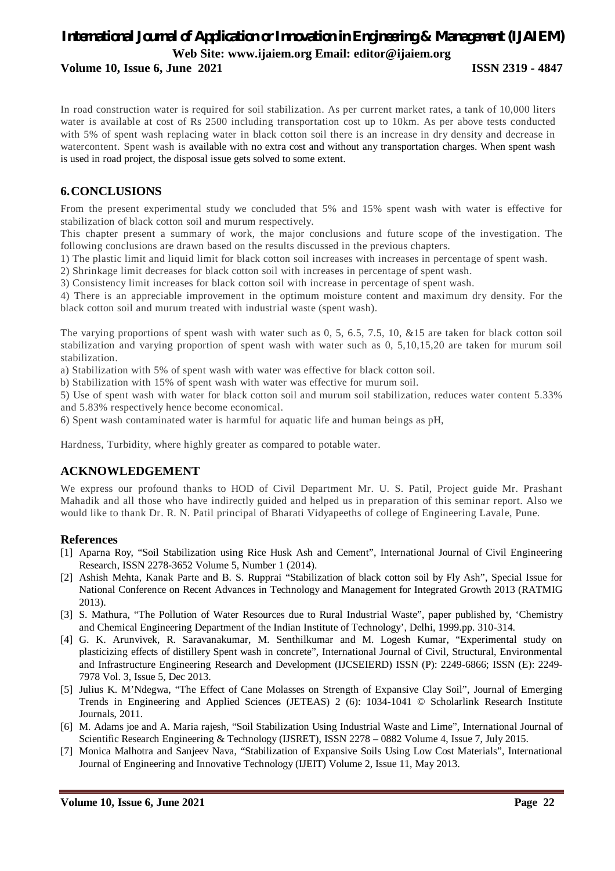# *International Journal of Application or Innovation in Engineering & Management (IJAIEM)* **Web Site: www.ijaiem.org Email: editor@ijaiem.org**

**Volume 10, Issue 6, June 2021 ISSN 2319 - 4847** 

In road construction water is required for soil stabilization. As per current market rates, a tank of 10,000 liters water is available at cost of Rs 2500 including transportation cost up to 10km. As per above tests conducted with 5% of spent wash replacing water in black cotton soil there is an increase in dry density and decrease in watercontent. Spent wash is available with no extra cost and without any transportation charges. When spent wash is used in road project, the disposal issue gets solved to some extent.

### **6.CONCLUSIONS**

From the present experimental study we concluded that 5% and 15% spent wash with water is effective for stabilization of black cotton soil and murum respectively.

This chapter present a summary of work, the major conclusions and future scope of the investigation. The following conclusions are drawn based on the results discussed in the previous chapters.

1) The plastic limit and liquid limit for black cotton soil increases with increases in percentage of spent wash.

2) Shrinkage limit decreases for black cotton soil with increases in percentage of spent wash.

3) Consistency limit increases for black cotton soil with increase in percentage of spent wash.

4) There is an appreciable improvement in the optimum moisture content and maximum dry density. For the black cotton soil and murum treated with industrial waste (spent wash).

The varying proportions of spent wash with water such as 0, 5, 6.5, 7.5, 10, &15 are taken for black cotton soil stabilization and varying proportion of spent wash with water such as 0, 5,10,15,20 are taken for murum soil stabilization.

a) Stabilization with 5% of spent wash with water was effective for black cotton soil.

b) Stabilization with 15% of spent wash with water was effective for murum soil.

5) Use of spent wash with water for black cotton soil and murum soil stabilization, reduces water content 5.33% and 5.83% respectively hence become economical.

6) Spent wash contaminated water is harmful for aquatic life and human beings as pH,

Hardness, Turbidity, where highly greater as compared to potable water.

### **ACKNOWLEDGEMENT**

We express our profound thanks to HOD of Civil Department Mr. U. S. Patil, Project guide Mr. Prashant Mahadik and all those who have indirectly guided and helped us in preparation of this seminar report. Also we would like to thank Dr. R. N. Patil principal of Bharati Vidyapeeths of college of Engineering Lavale, Pune.

### **References**

- [1] Aparna Roy, "Soil Stabilization using Rice Husk Ash and Cement", International Journal of Civil Engineering Research, ISSN 2278-3652 Volume 5, Number 1 (2014).
- [2] Ashish Mehta, Kanak Parte and B. S. Rupprai "Stabilization of black cotton soil by Fly Ash", Special Issue for National Conference on Recent Advances in Technology and Management for Integrated Growth 2013 (RATMIG 2013).
- [3] S. Mathura, "The Pollution of Water Resources due to Rural Industrial Waste", paper published by, 'Chemistry and Chemical Engineering Department of the Indian Institute of Technology', Delhi, 1999.pp. 310-314.
- [4] G. K. Arunvivek, R. Saravanakumar, M. Senthilkumar and M. Logesh Kumar, "Experimental study on plasticizing effects of distillery Spent wash in concrete", International Journal of Civil, Structural, Environmental and Infrastructure Engineering Research and Development (IJCSEIERD) ISSN (P): 2249-6866; ISSN (E): 2249- 7978 Vol. 3, Issue 5, Dec 2013.
- [5] Julius K. M'Ndegwa, "The Effect of Cane Molasses on Strength of Expansive Clay Soil", Journal of Emerging Trends in Engineering and Applied Sciences (JETEAS) 2 (6): 1034-1041 © Scholarlink Research Institute Journals, 2011.
- [6] M. Adams joe and A. Maria rajesh, "Soil Stabilization Using Industrial Waste and Lime", International Journal of Scientific Research Engineering & Technology (IJSRET), ISSN 2278 – 0882 Volume 4, Issue 7, July 2015.
- [7] Monica Malhotra and Sanjeev Nava, "Stabilization of Expansive Soils Using Low Cost Materials", International Journal of Engineering and Innovative Technology (IJEIT) Volume 2, Issue 11, May 2013.